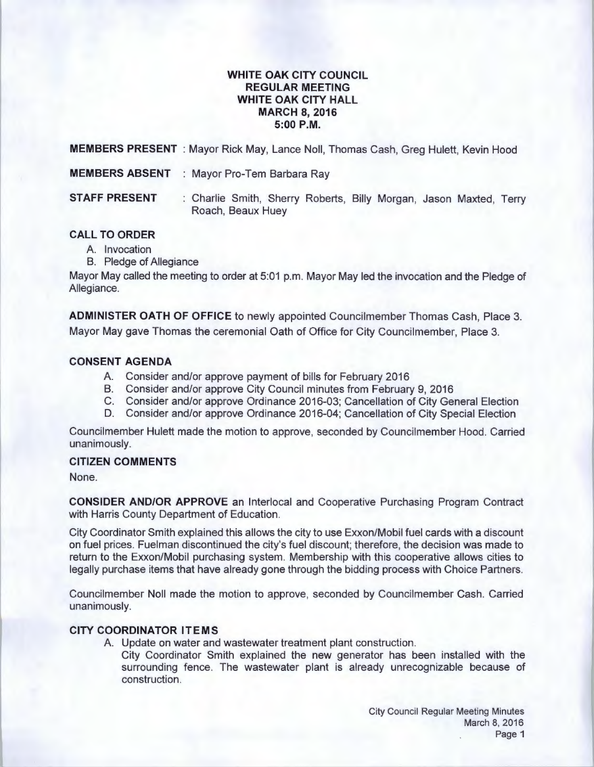### **WHITE OAK CITY COUNCIL REGULAR MEETING WHITE OAK CITY HALL MARCH 8, 2016 5:00P.M.**

**MEMBERS PRESENT** : Mayor Rick May, Lance Noll, Thomas Cash, Greg Hulett, Kevin Hood

**MEMBERS ABSENT : Mayor Pro-Tem Barbara Ray** 

**STAFF PRESENT** : Charlie Smith, Sherry Roberts, Billy Morgan, Jason Maxted, Terry Roach, Beaux Huey

# **CALL TO ORDER**

- A. Invocation
- B. Pledge of Allegiance

Mayor May called the meeting to order at 5:01 p.m. Mayor May led the invocation and the Pledge of Allegiance.

**ADMINISTER OATH OF OFFICE** to newly appointed Councilmember Thomas Cash, Place 3. Mayor May gave Thomas the ceremonial Oath of Office for City Councilmember, Place 3.

# **CONSENT AGENDA**

- A. Consider and/or approve payment of bills for February 2016
- B. Consider and/or approve City Council minutes from February 9, 2016
- C. Consider and/or approve Ordinance 2016-03; Cancellation of City General Election
- D. Consider and/or approve Ordinance 2016-04; Cancellation of City Special Election

Councilmember Hulett made the motion to approve, seconded by Councilmember Hood. Carried unanimously.

### **CITIZEN COMMENTS**

None.

**CONSIDER AND/OR APPROVE** an lnterlocal and Cooperative Purchasing Program Contract with Harris County Department of Education.

City Coordinator Smith explained this allows the city to use Exxon/Mobil fuel cards with a discount on fuel prices. Fuelman discontinued the city's fuel discount; therefore, the decision was made to return to the Exxon/Mobil purchasing system. Membership with this cooperative allows cities to legally purchase items that have already gone through the bidding process with Choice Partners.

Councilmember Noll made the motion to approve, seconded by Councilmember Cash. Carried unanimously.

# **CITY COORDINATOR ITEMS**

A. Update on water and wastewater treatment plant construction.

City Coordinator Smith explained the new generator has been installed with the surrounding fence. The wastewater plant is already unrecognizable because of construction.